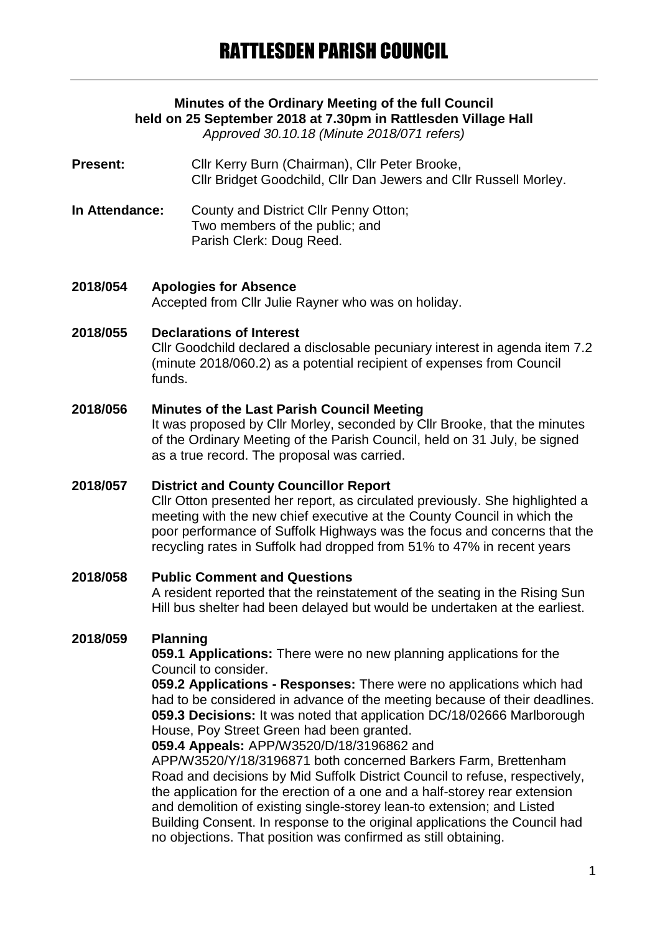# **Minutes of the Ordinary Meeting of the full Council held on 25 September 2018 at 7.30pm in Rattlesden Village Hall**

*Approved 30.10.18 (Minute 2018/071 refers)*

- Present: Cllr Kerry Burn (Chairman), Cllr Peter Brooke, Cllr Bridget Goodchild, Cllr Dan Jewers and Cllr Russell Morley.
- **In Attendance:** County and District Cllr Penny Otton; Two members of the public; and Parish Clerk: Doug Reed.
- **2018/054 Apologies for Absence** Accepted from Cllr Julie Rayner who was on holiday.

#### **2018/055 Declarations of Interest**

Cllr Goodchild declared a disclosable pecuniary interest in agenda item 7.2 (minute 2018/060.2) as a potential recipient of expenses from Council funds.

#### **2018/056 Minutes of the Last Parish Council Meeting**

It was proposed by Cllr Morley, seconded by Cllr Brooke, that the minutes of the Ordinary Meeting of the Parish Council, held on 31 July, be signed as a true record. The proposal was carried.

# **2018/057 District and County Councillor Report**

Cllr Otton presented her report, as circulated previously. She highlighted a meeting with the new chief executive at the County Council in which the poor performance of Suffolk Highways was the focus and concerns that the recycling rates in Suffolk had dropped from 51% to 47% in recent years

# **2018/058 Public Comment and Questions** A resident reported that the reinstatement of the seating in the Rising Sun Hill bus shelter had been delayed but would be undertaken at the earliest.

# **2018/059 Planning**

**059.1 Applications:** There were no new planning applications for the Council to consider.

**059.2 Applications - Responses:** There were no applications which had had to be considered in advance of the meeting because of their deadlines. **059.3 Decisions:** It was noted that application DC/18/02666 Marlborough House, Poy Street Green had been granted.

**059.4 Appeals:** APP/W3520/D/18/3196862 and

APP/W3520/Y/18/3196871 both concerned Barkers Farm, Brettenham Road and decisions by Mid Suffolk District Council to refuse, respectively, the application for the erection of a one and a half-storey rear extension and demolition of existing single-storey lean-to extension; and Listed Building Consent. In response to the original applications the Council had no objections. That position was confirmed as still obtaining.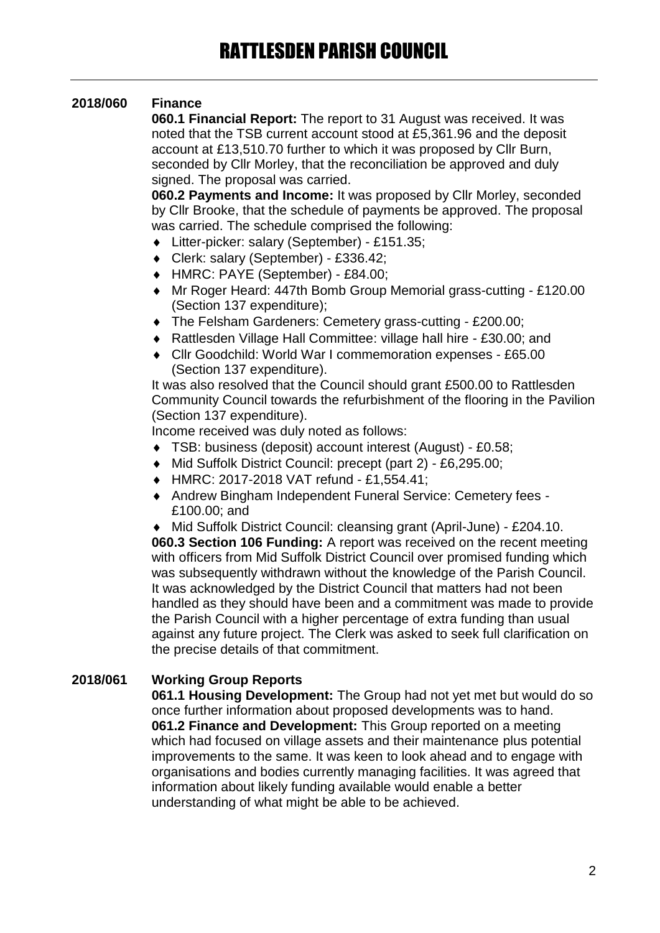# **2018/060 Finance**

**060.1 Financial Report:** The report to 31 August was received. It was noted that the TSB current account stood at £5,361.96 and the deposit account at £13,510.70 further to which it was proposed by Cllr Burn, seconded by Cllr Morley, that the reconciliation be approved and duly signed. The proposal was carried.

**060.2 Payments and Income:** It was proposed by Cllr Morley, seconded by Cllr Brooke, that the schedule of payments be approved. The proposal was carried. The schedule comprised the following:

- Litter-picker: salary (September) £151.35;
- Clerk: salary (September) £336.42;
- HMRC: PAYE (September) £84.00;
- Mr Roger Heard: 447th Bomb Group Memorial grass-cutting £120.00 (Section 137 expenditure);
- The Felsham Gardeners: Cemetery grass-cutting £200.00;
- Rattlesden Village Hall Committee: village hall hire £30.00; and
- Cllr Goodchild: World War I commemoration expenses £65.00 (Section 137 expenditure).

It was also resolved that the Council should grant £500.00 to Rattlesden Community Council towards the refurbishment of the flooring in the Pavilion (Section 137 expenditure).

Income received was duly noted as follows:

- TSB: business (deposit) account interest (August) £0.58;
- Mid Suffolk District Council: precept (part 2) £6,295.00;
- HMRC: 2017-2018 VAT refund £1,554.41;
- Andrew Bingham Independent Funeral Service: Cemetery fees £100.00; and

 Mid Suffolk District Council: cleansing grant (April-June) - £204.10. **060.3 Section 106 Funding:** A report was received on the recent meeting with officers from Mid Suffolk District Council over promised funding which was subsequently withdrawn without the knowledge of the Parish Council. It was acknowledged by the District Council that matters had not been handled as they should have been and a commitment was made to provide the Parish Council with a higher percentage of extra funding than usual against any future project. The Clerk was asked to seek full clarification on the precise details of that commitment.

# **2018/061 Working Group Reports**

**061.1 Housing Development:** The Group had not yet met but would do so once further information about proposed developments was to hand. **061.2 Finance and Development:** This Group reported on a meeting which had focused on village assets and their maintenance plus potential improvements to the same. It was keen to look ahead and to engage with organisations and bodies currently managing facilities. It was agreed that information about likely funding available would enable a better understanding of what might be able to be achieved.